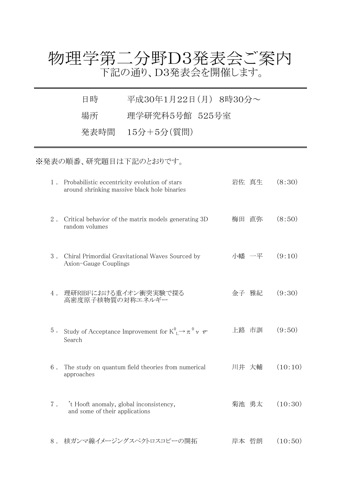## 物理学第二分野D3発表会ご案内 下記の通り、D3発表会を開催します。

日時 平成30年1月22日(月) 8時30分~

場所 理学研究科5号館 525号室

発表時間 15分+5分(質問)

※発表の順番、研究題目は下記のとおりです。

| 1.    | Probabilistic eccentricity evolution of stars<br>around shrinking massive black hole binaries |    | 岩佐 真生 | (8:30)  |
|-------|-----------------------------------------------------------------------------------------------|----|-------|---------|
| 2.    | Critical behavior of the matrix models generating 3D<br>random volumes                        | 梅田 | 直弥    | (8:50)  |
| 3.    | Chiral Primordial Gravitational Waves Sourced by<br>Axion-Gauge Couplings                     |    | 小幡 一平 | (9:10)  |
| 4.    | 理研RIBFにおける重イオン衝突実験で探る<br>高密度原子核物質の対称エネルギー                                                     |    | 金子 雅紀 | (9:30)  |
| $5$ . | Study of Acceptance Improvement for $K^0_{\mathbb{L}} \rightarrow \pi^0 \nu \nu$<br>Search    |    | 上路 市訓 | (9:50)  |
| 6.    | The study on quantum field theories from numerical<br>approaches                              |    | 川井 大輔 | (10:10) |
| $7$ . | 't Hooft anomaly, global inconsistency,<br>and some of their applications                     |    | 菊池 勇太 | (10:30) |
| $8$ . | 核ガンマ線イメージングスペクトロスコピーの開拓                                                                       |    | 岸本 哲朗 | (10:50) |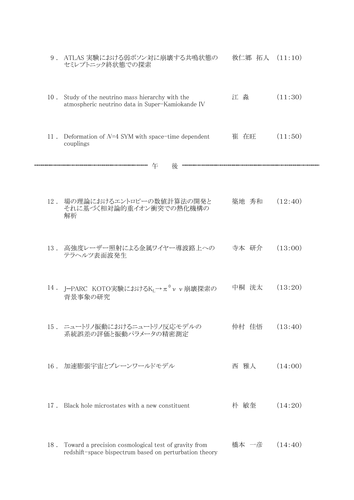|        | 9. ATLAS 実験における弱ボソン対に崩壊する共鳴状態の<br>セミレプトニック終状態での探索                                                                  | 救仁郷 拓人 | (11:10) |
|--------|--------------------------------------------------------------------------------------------------------------------|--------|---------|
| $10$ . | Study of the neutrino mass hierarchy with the<br>atmospheric neutrino data in Super-Kamiokande IV                  | 江 淼    | (11:30) |
| 11.    | Deformation of $N=4$ SYM with space-time dependent<br>couplings                                                    | 崔 在旺   | (11:50) |
|        | 午<br>後                                                                                                             |        |         |
| 12.    | 場の理論におけるエントロピーの数値計算法の開発と<br>それに基づく相対論的重イオン衝突での熱化機構の<br>解析                                                          | 築地 秀和  | (12:40) |
|        | 13. 高強度レーザー照射による金属ワイヤー導波路上への<br>テラヘルツ表面波発生                                                                         | 寺本 研介  | (13:00) |
|        | 14 . J-PARC KOTO実験における $K_L \rightarrow \pi^0 \nu \nu$ 崩壊探索の<br>背景事象の研究                                            | 中桐 洸太  | (13:20) |
|        | 15. ニュートリノ振動におけるニュートリノ反応モデルの<br>系統誤差の評価と振動パラメータの精密測定                                                               | 仲村 佳悟  | (13:40) |
|        | 16. 加速膨張宇宙とブレーンワールドモデル                                                                                             | 西 雅人   | (14:00) |
| $17$ . | Black hole microstates with a new constituent                                                                      | 朴 敏奎   | (14:20) |
|        | 18. Toward a precision cosmological test of gravity from<br>redshift-space bispectrum based on perturbation theory | 橋本 一彦  | (14:40) |